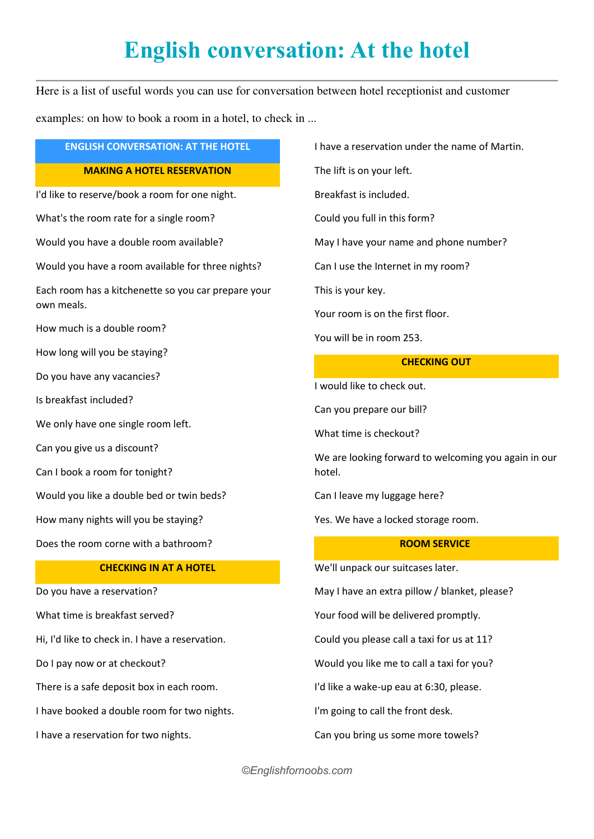# **English conversation: At the hotel**

Here is a list of useful words you can use for conversation between hotel receptionist and customer examples: on how to book a room in a hotel, to check in ...

# **ENGLISH CONVERSATION: AT THE HOTEL MAKING A HOTEL RESERVATION**

I'd like to reserve/book a room for one night.

What's the room rate for a single room?

Would you have a double room available?

Would you have a room available for three nights?

Each room has a kitchenette so you car prepare your own meals.

How much is a double room?

How long will you be staying?

Do you have any vacancies?

Is breakfast included?

We only have one single room left.

Can you give us a discount?

Can I book a room for tonight?

Would you like a double bed or twin beds?

How many nights will you be staying?

Does the room corne with a bathroom?

### **CHECKING IN AT A HOTEL**

Do you have a reservation?

What time is breakfast served?

Hi, I'd like to check in. I have a reservation.

Do I pay now or at checkout?

There is a safe deposit box in each room.

I have booked a double room for two nights.

I have a reservation for two nights.

I have a reservation under the name of Martin.

The lift is on your left.

Breakfast is included.

Could you full in this form?

May I have your name and phone number?

Can I use the Internet in my room?

This is your key.

Your room is on the first floor.

You will be in room 253.

## **CHECKING OUT**

I would like to check out.

Can you prepare our bill?

What time is checkout?

We are looking forward to welcoming you again in our hotel.

Can I leave my luggage here?

Yes. We have a locked storage room.

# **ROOM SERVICE**

We'll unpack our suitcases later.

May I have an extra pillow / blanket, please?

Your food will be delivered promptly.

Could you please call a taxi for us at 11?

Would you like me to call a taxi for you?

I'd like a wake-up eau at 6:30, please.

I'm going to call the front desk.

Can you bring us some more towels?